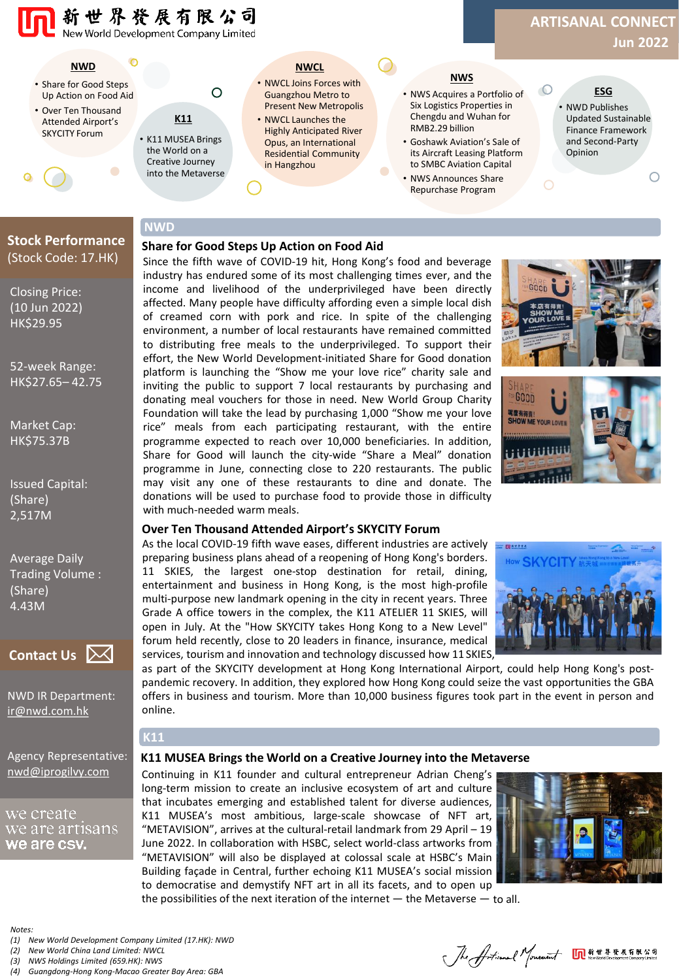

# **Stock Performance** (Stock Code: 17.HK)

Closing Price: (10 Jun 2022) HK\$29.95

52-week Range: HK\$27.65– 42.75

Market Cap: HK\$75.37B

Issued Capital: (Share) 2,517M

Average Daily Trading Volume : (Share) 4.43M



NWD IR Department: [ir@nwd.com.hk](mailto:ir@nwd.com.hk)

Agency Representative: [nwd@iprogilvy.com](mailto:nwd@iprogilvy.com)

### we create we are artisans we are csv.

**Share for Good Steps Up Action on Food Aid**

Since the fifth wave of COVID-19 hit, Hong Kong's food and beverage industry has endured some of its most challenging times ever, and the income and livelihood of the underprivileged have been directly affected. Many people have difficulty affording even a simple local dish of creamed corn with pork and rice. In spite of the challenging environment, a number of local restaurants have remained committed to distributing free meals to the underprivileged. To support their effort, the New World Development-initiated Share for Good donation platform is launching the "Show me your love rice" charity sale and inviting the public to support 7 local restaurants by purchasing and donating meal vouchers for those in need. New World Group Charity Foundation will take the lead by purchasing 1,000 "Show me your love rice" meals from each participating restaurant, with the entire programme expected to reach over 10,000 beneficiaries. In addition, Share for Good will launch the city-wide "Share a Meal" donation programme in June, connecting close to 220 restaurants. The public may visit any one of these restaurants to dine and donate. The donations will be used to purchase food to provide those in difficulty with much-needed warm meals.





#### **Over Ten Thousand Attended Airport's SKYCITY Forum**

As the local COVID-19 fifth wave eases, different industries are actively preparing business plans ahead of a reopening of Hong Kong's borders. 11 SKIES, the largest one-stop destination for retail, dining, entertainment and business in Hong Kong, is the most high-profile multi-purpose new landmark opening in the city in recent years. Three Grade A office towers in the complex, the K11 ATELIER 11 SKIES, will open in July. At the "How SKYCITY takes Hong Kong to a New Level" forum held recently, close to 20 leaders in finance, insurance, medical services, tourism and innovation and technology discussed how 11 SKIES,



as part of the SKYCITY development at Hong Kong International Airport, could help Hong Kong's postpandemic recovery. In addition, they explored how Hong Kong could seize the vast opportunities the GBA offers in business and tourism. More than 10,000 business figures took part in the event in person and online.

#### **K11 MUSEA Brings the World on a Creative Journey into the Metaverse**

Continuing in K11 founder and cultural entrepreneur Adrian Cheng's long-term mission to create an inclusive ecosystem of art and culture that incubates emerging and established talent for diverse audiences, K11 MUSEA's most ambitious, large-scale showcase of NFT art, "METAVISION", arrives at the cultural-retail landmark from 29 April – 19 June 2022. In collaboration with HSBC, select world-class artworks from "METAVISION" will also be displayed at colossal scale at HSBC's Main Building façade in Central, further echoing K11 MUSEA's social mission to democratise and demystify NFT art in all its facets, and to open up



the possibilities of the next iteration of the internet — the Metaverse — to all.

*Notes:*

*(1) New World Development Company Limited (17.HK): NWD*

**K11**

- *(2) New World China Land Limited: NWCL*
- *(3) NWS Holdings Limited (659.HK): NWS*

*(4) Guangdong-Hong Kong-Macao Greater Bay Area: GBA*

Jhe Artical Monet MERERER